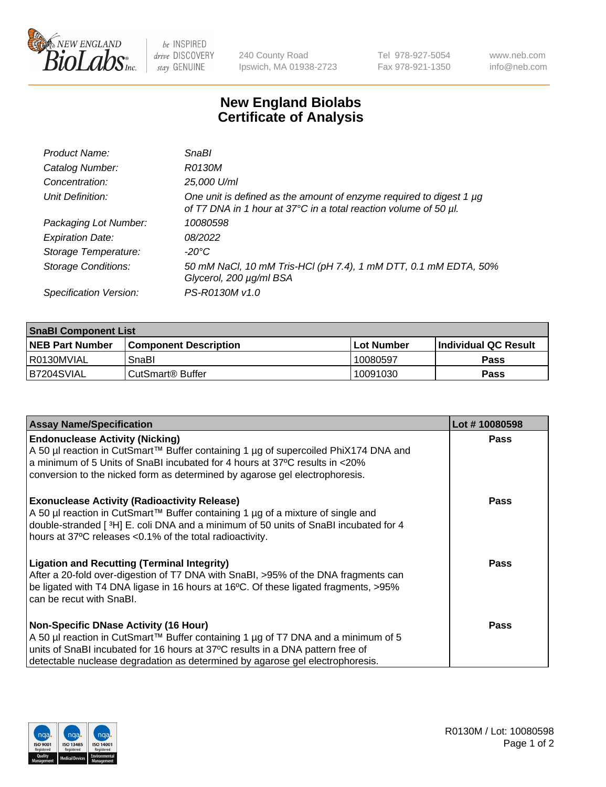

 $be$  INSPIRED drive DISCOVERY stay GENUINE

240 County Road Ipswich, MA 01938-2723 Tel 978-927-5054 Fax 978-921-1350 www.neb.com info@neb.com

## **New England Biolabs Certificate of Analysis**

| Product Name:              | SnaBl                                                                                                                                   |
|----------------------------|-----------------------------------------------------------------------------------------------------------------------------------------|
| Catalog Number:            | R0130M                                                                                                                                  |
| Concentration:             | 25,000 U/ml                                                                                                                             |
| Unit Definition:           | One unit is defined as the amount of enzyme required to digest 1 µg<br>of T7 DNA in 1 hour at 37°C in a total reaction volume of 50 µl. |
| Packaging Lot Number:      | 10080598                                                                                                                                |
| <b>Expiration Date:</b>    | 08/2022                                                                                                                                 |
| Storage Temperature:       | -20°C                                                                                                                                   |
| <b>Storage Conditions:</b> | 50 mM NaCl, 10 mM Tris-HCl (pH 7.4), 1 mM DTT, 0.1 mM EDTA, 50%<br>Glycerol, 200 µg/ml BSA                                              |
| Specification Version:     | PS-R0130M v1.0                                                                                                                          |

| <b>SnaBI Component List</b> |                         |             |                             |  |
|-----------------------------|-------------------------|-------------|-----------------------------|--|
| <b>NEB Part Number</b>      | l Component Description | ⊺Lot Number | <b>Individual QC Result</b> |  |
| l R0130MVIAL                | SnaBl                   | 10080597    | Pass                        |  |
| B7204SVIAL                  | l CutSmart® Buffer      | 10091030    | Pass                        |  |

| <b>Assay Name/Specification</b>                                                                                                                                                                                                                                                                      | Lot #10080598 |
|------------------------------------------------------------------------------------------------------------------------------------------------------------------------------------------------------------------------------------------------------------------------------------------------------|---------------|
| <b>Endonuclease Activity (Nicking)</b><br>A 50 µl reaction in CutSmart™ Buffer containing 1 µg of supercoiled PhiX174 DNA and<br>a minimum of 5 Units of SnaBI incubated for 4 hours at 37°C results in <20%<br>conversion to the nicked form as determined by agarose gel electrophoresis.          | <b>Pass</b>   |
| <b>Exonuclease Activity (Radioactivity Release)</b><br>A 50 µl reaction in CutSmart™ Buffer containing 1 µg of a mixture of single and<br>double-stranded [3H] E. coli DNA and a minimum of 50 units of SnaBI incubated for 4<br>hours at 37°C releases <0.1% of the total radioactivity.            | <b>Pass</b>   |
| <b>Ligation and Recutting (Terminal Integrity)</b><br>After a 20-fold over-digestion of T7 DNA with SnaBI, >95% of the DNA fragments can<br>be ligated with T4 DNA ligase in 16 hours at 16°C. Of these ligated fragments, >95%<br>can be recut with SnaBI.                                          | Pass          |
| <b>Non-Specific DNase Activity (16 Hour)</b><br>A 50 µl reaction in CutSmart™ Buffer containing 1 µg of T7 DNA and a minimum of 5<br>units of SnaBI incubated for 16 hours at 37°C results in a DNA pattern free of<br>detectable nuclease degradation as determined by agarose gel electrophoresis. | Pass          |